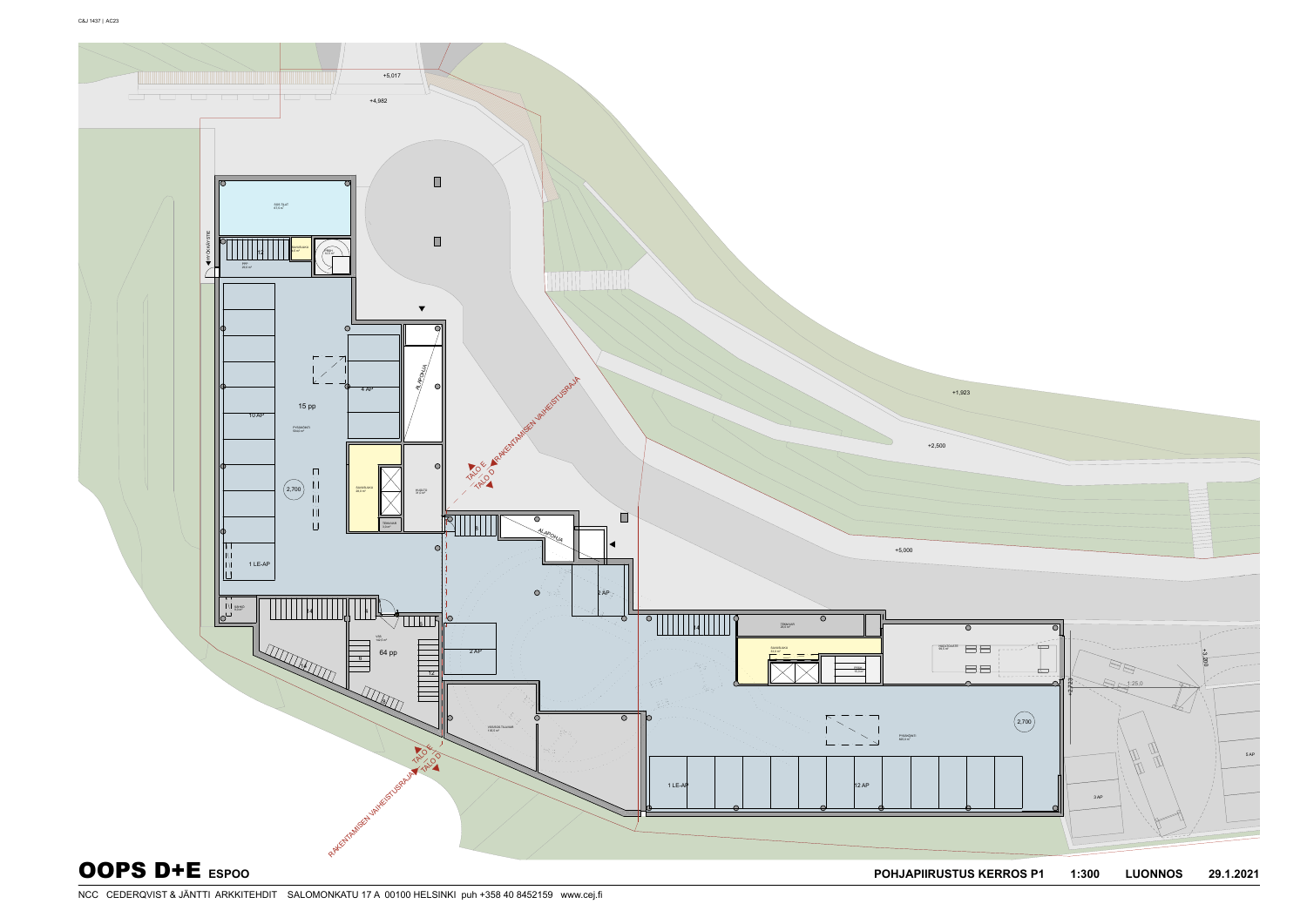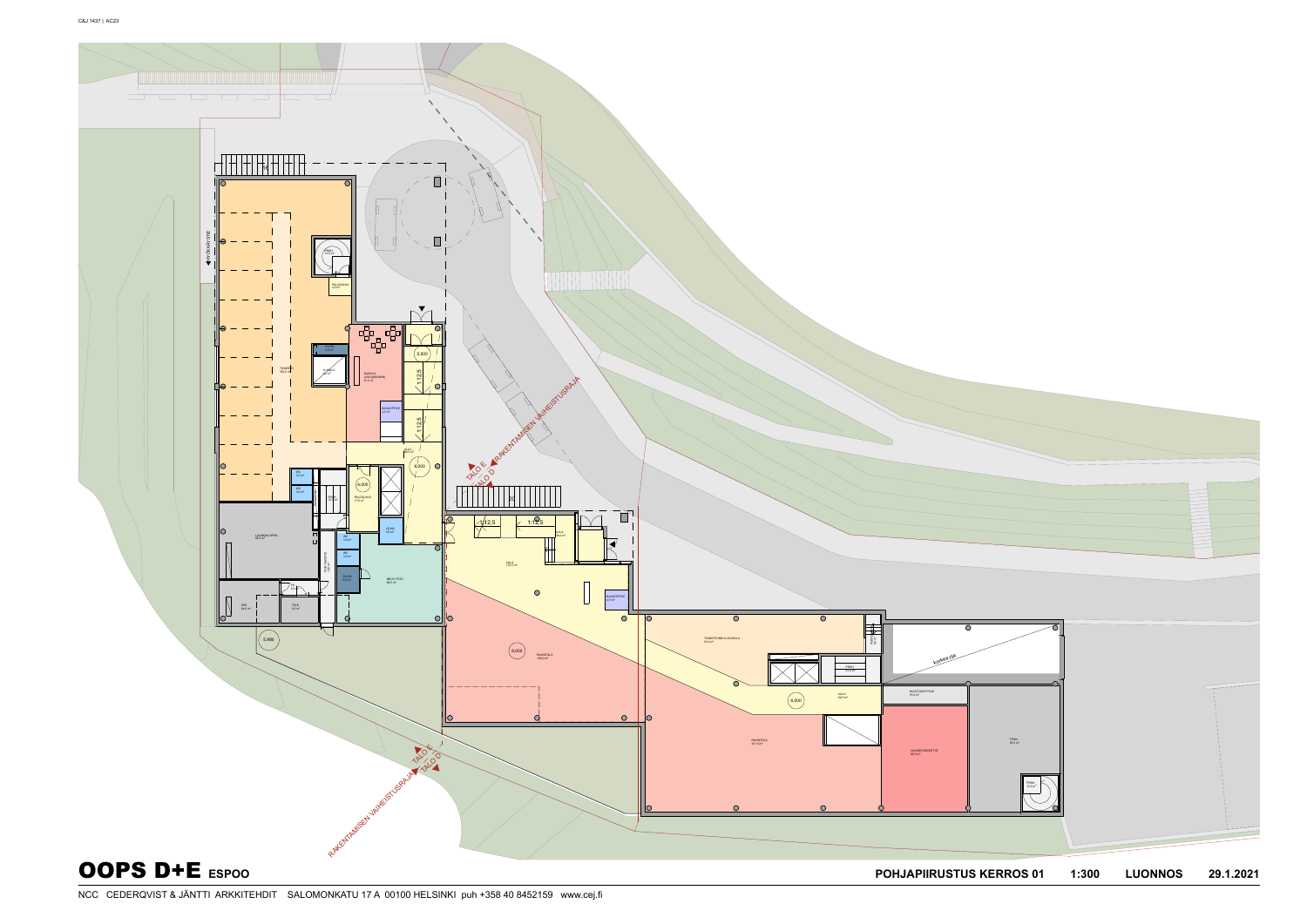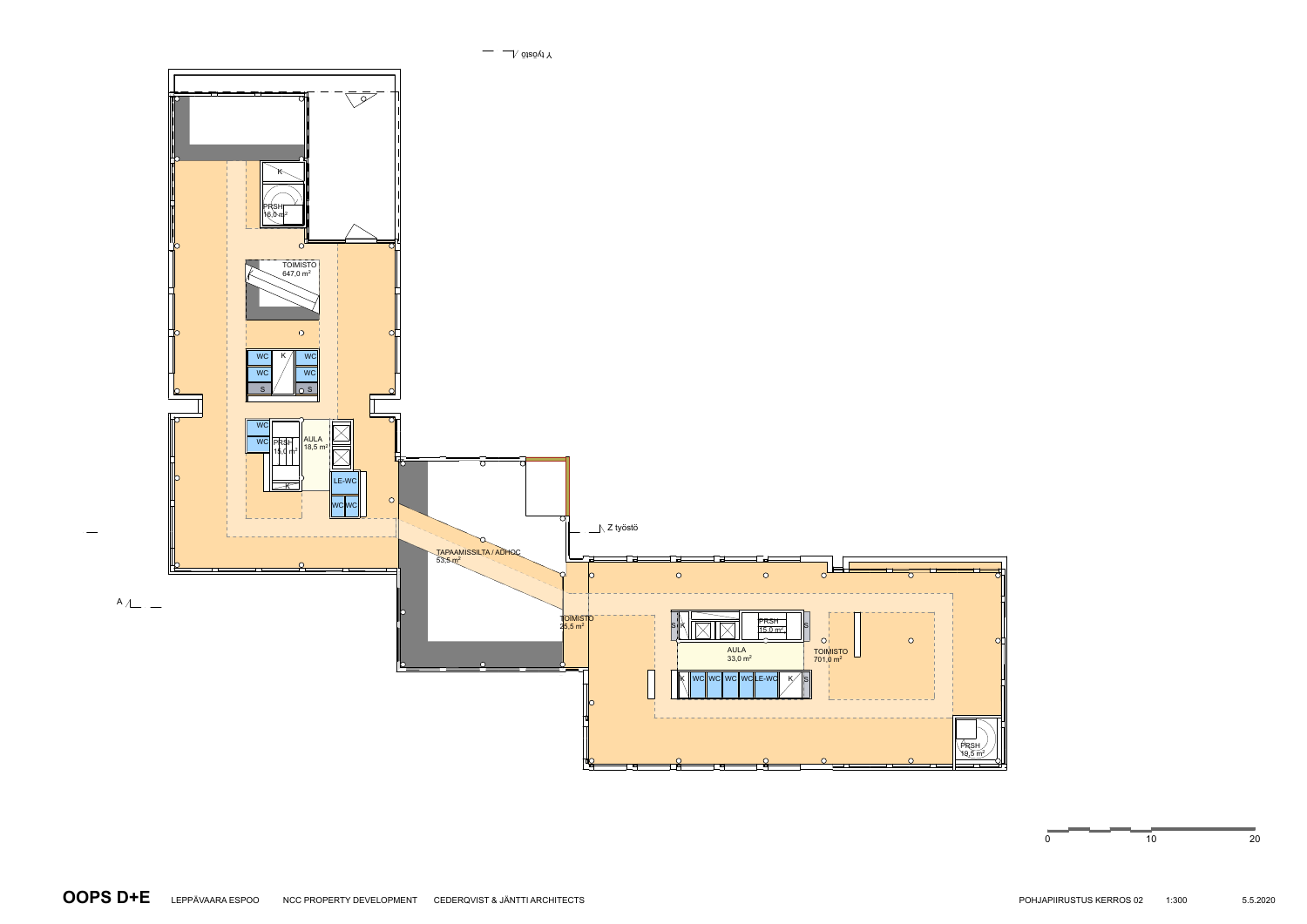

 $\overline{\phantom{a}}$   $\overline{\phantom{a}}$   $\overline{\phantom{a}}$   $\overline{\phantom{a}}$   $\overline{\phantom{a}}$   $\overline{\phantom{a}}$   $\overline{\phantom{a}}$   $\overline{\phantom{a}}$   $\overline{\phantom{a}}$   $\overline{\phantom{a}}$   $\overline{\phantom{a}}$   $\overline{\phantom{a}}$   $\overline{\phantom{a}}$   $\overline{\phantom{a}}$   $\overline{\phantom{a}}$   $\overline{\phantom{a}}$   $\overline{\phantom{a}}$   $\overline{\phantom{a}}$   $\overline{\$ 

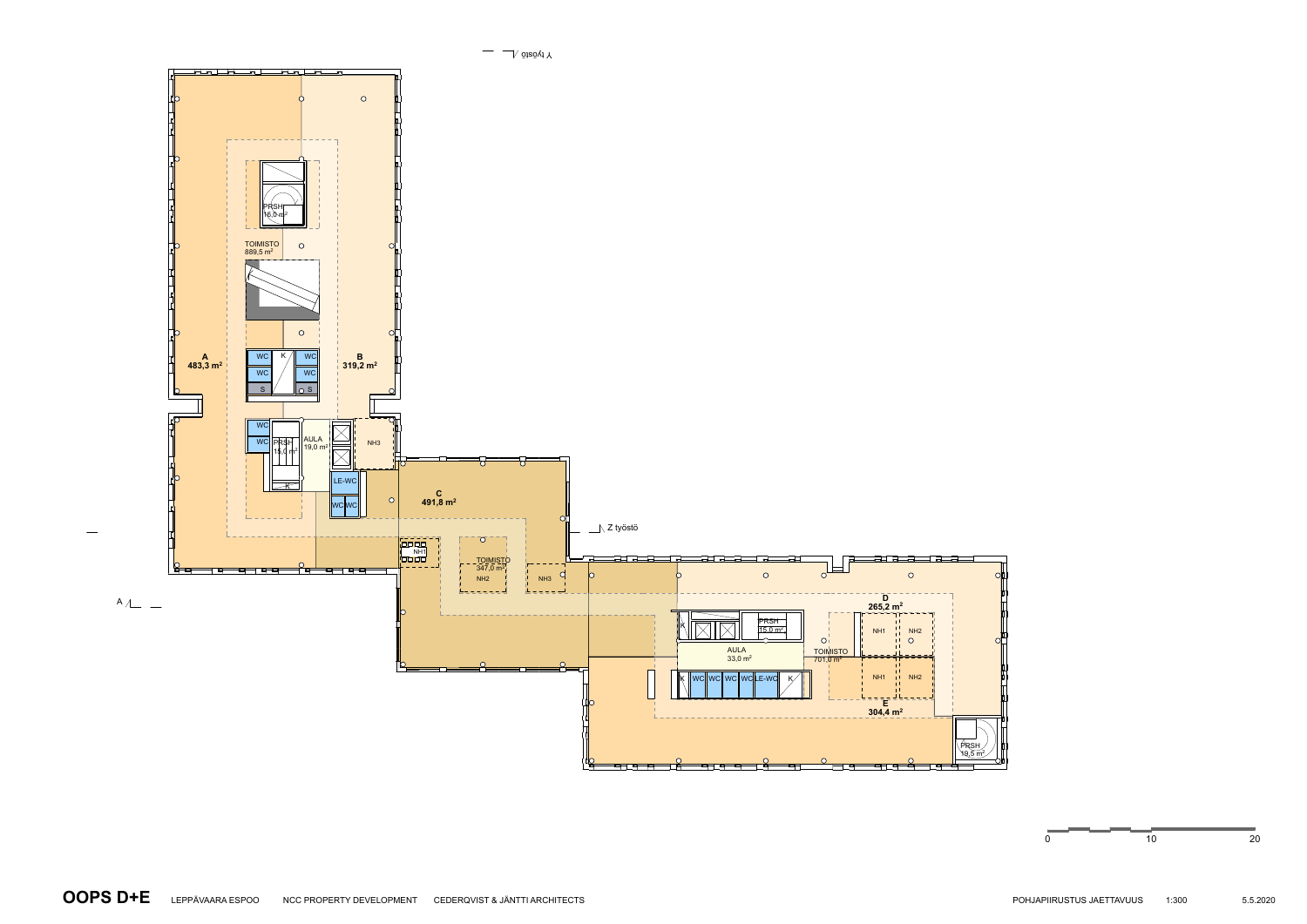